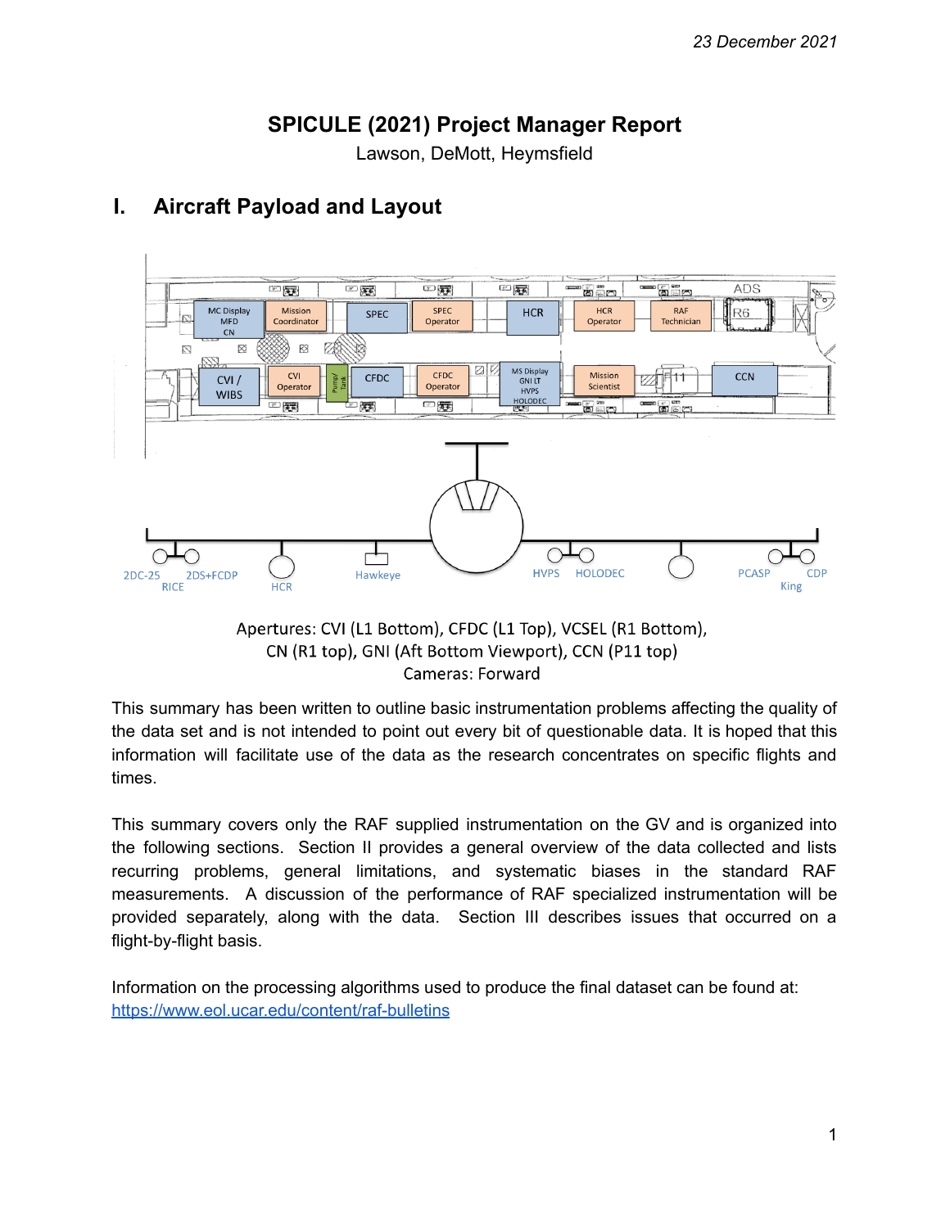# **SPICULE (2021) Project Manager Report**

Lawson, DeMott, Heymsfield



# **I. Aircraft Payload and Layout**

Apertures: CVI (L1 Bottom), CFDC (L1 Top), VCSEL (R1 Bottom), CN (R1 top), GNI (Aft Bottom Viewport), CCN (P11 top) Cameras: Forward

This summary has been written to outline basic instrumentation problems affecting the quality of the data set and is not intended to point out every bit of questionable data. It is hoped that this information will facilitate use of the data as the research concentrates on specific flights and times.

This summary covers only the RAF supplied instrumentation on the GV and is organized into the following sections. Section II provides a general overview of the data collected and lists recurring problems, general limitations, and systematic biases in the standard RAF measurements. A discussion of the performance of RAF specialized instrumentation will be provided separately, along with the data. Section III describes issues that occurred on a flight-by-flight basis.

Information on the processing algorithms used to produce the final dataset can be found at: <https://www.eol.ucar.edu/content/raf-bulletins>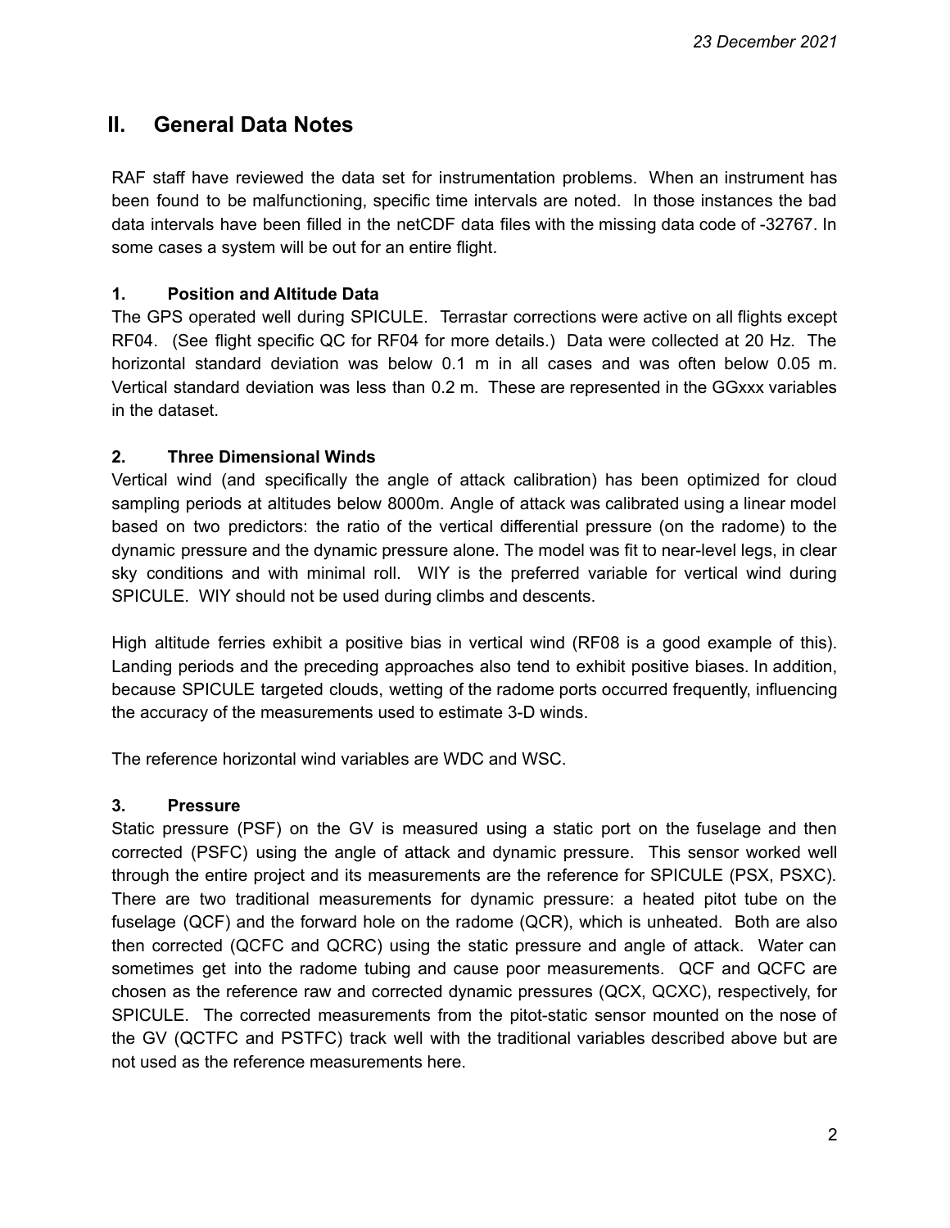## **II. General Data Notes**

RAF staff have reviewed the data set for instrumentation problems. When an instrument has been found to be malfunctioning, specific time intervals are noted. In those instances the bad data intervals have been filled in the netCDF data files with the missing data code of -32767. In some cases a system will be out for an entire flight.

### **1. Position and Altitude Data**

The GPS operated well during SPICULE. Terrastar corrections were active on all flights except RF04. (See flight specific QC for RF04 for more details.) Data were collected at 20 Hz. The horizontal standard deviation was below 0.1 m in all cases and was often below 0.05 m. Vertical standard deviation was less than 0.2 m. These are represented in the GGxxx variables in the dataset.

### **2. Three Dimensional Winds**

Vertical wind (and specifically the angle of attack calibration) has been optimized for cloud sampling periods at altitudes below 8000m. Angle of attack was calibrated using a linear model based on two predictors: the ratio of the vertical differential pressure (on the radome) to the dynamic pressure and the dynamic pressure alone. The model was fit to near-level legs, in clear sky conditions and with minimal roll. WIY is the preferred variable for vertical wind during SPICULE. WIY should not be used during climbs and descents.

High altitude ferries exhibit a positive bias in vertical wind (RF08 is a good example of this). Landing periods and the preceding approaches also tend to exhibit positive biases. In addition, because SPICULE targeted clouds, wetting of the radome ports occurred frequently, influencing the accuracy of the measurements used to estimate 3-D winds.

The reference horizontal wind variables are WDC and WSC.

#### **3. Pressure**

Static pressure (PSF) on the GV is measured using a static port on the fuselage and then corrected (PSFC) using the angle of attack and dynamic pressure. This sensor worked well through the entire project and its measurements are the reference for SPICULE (PSX, PSXC). There are two traditional measurements for dynamic pressure: a heated pitot tube on the fuselage (QCF) and the forward hole on the radome (QCR), which is unheated. Both are also then corrected (QCFC and QCRC) using the static pressure and angle of attack. Water can sometimes get into the radome tubing and cause poor measurements. QCF and QCFC are chosen as the reference raw and corrected dynamic pressures (QCX, QCXC), respectively, for SPICULE. The corrected measurements from the pitot-static sensor mounted on the nose of the GV (QCTFC and PSTFC) track well with the traditional variables described above but are not used as the reference measurements here.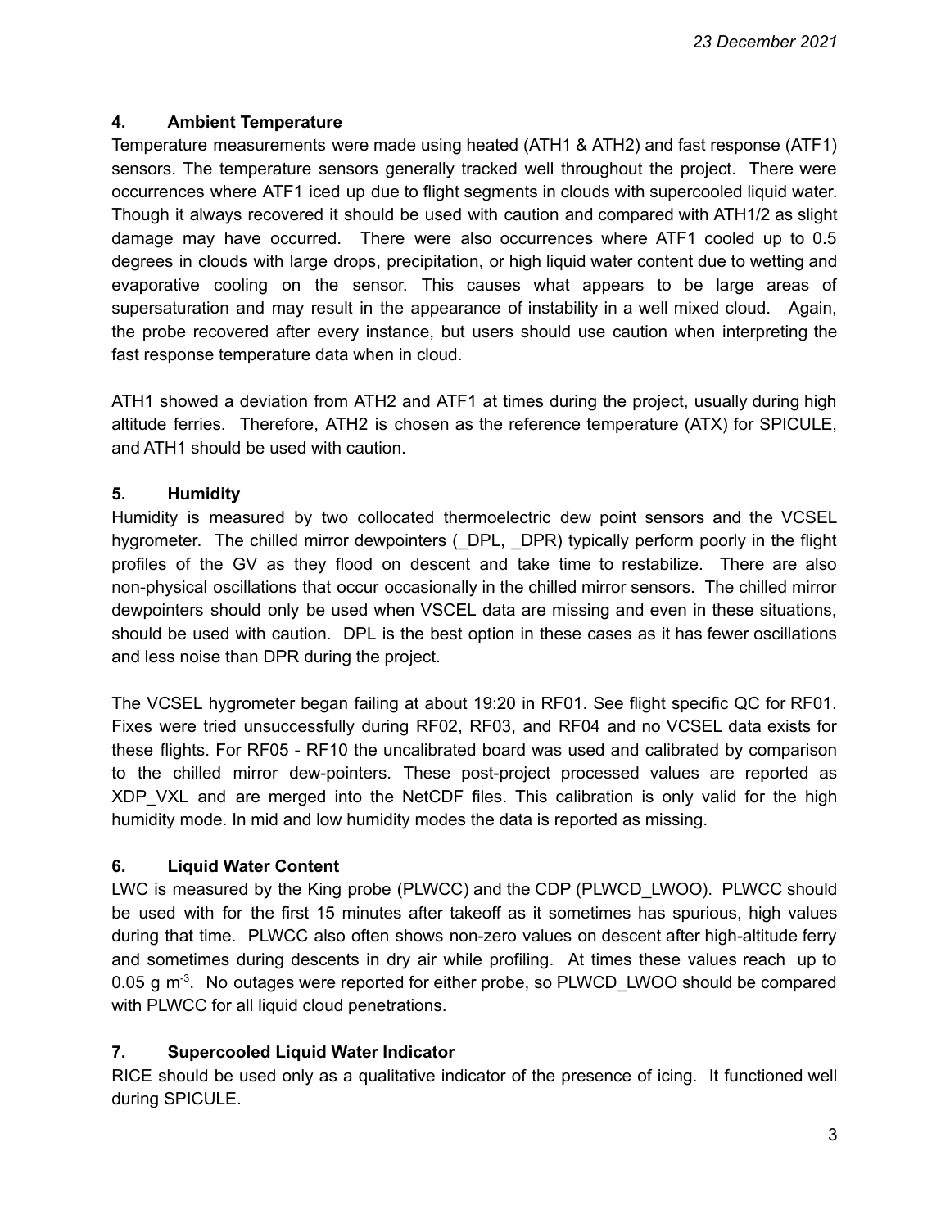### **4. Ambient Temperature**

Temperature measurements were made using heated (ATH1 & ATH2) and fast response (ATF1) sensors. The temperature sensors generally tracked well throughout the project. There were occurrences where ATF1 iced up due to flight segments in clouds with supercooled liquid water. Though it always recovered it should be used with caution and compared with ATH1/2 as slight damage may have occurred. There were also occurrences where ATF1 cooled up to 0.5 degrees in clouds with large drops, precipitation, or high liquid water content due to wetting and evaporative cooling on the sensor. This causes what appears to be large areas of supersaturation and may result in the appearance of instability in a well mixed cloud. Again, the probe recovered after every instance, but users should use caution when interpreting the fast response temperature data when in cloud.

ATH1 showed a deviation from ATH2 and ATF1 at times during the project, usually during high altitude ferries. Therefore, ATH2 is chosen as the reference temperature (ATX) for SPICULE, and ATH1 should be used with caution.

### **5. Humidity**

Humidity is measured by two collocated thermoelectric dew point sensors and the VCSEL hygrometer. The chilled mirror dewpointers (\_DPL, \_DPR) typically perform poorly in the flight profiles of the GV as they flood on descent and take time to restabilize. There are also non-physical oscillations that occur occasionally in the chilled mirror sensors. The chilled mirror dewpointers should only be used when VSCEL data are missing and even in these situations, should be used with caution. DPL is the best option in these cases as it has fewer oscillations and less noise than DPR during the project.

The VCSEL hygrometer began failing at about 19:20 in RF01. See flight specific QC for RF01. Fixes were tried unsuccessfully during RF02, RF03, and RF04 and no VCSEL data exists for these flights. For RF05 - RF10 the uncalibrated board was used and calibrated by comparison to the chilled mirror dew-pointers. These post-project processed values are reported as XDP VXL and are merged into the NetCDF files. This calibration is only valid for the high humidity mode. In mid and low humidity modes the data is reported as missing.

### **6. Liquid Water Content**

LWC is measured by the King probe (PLWCC) and the CDP (PLWCD\_LWOO). PLWCC should be used with for the first 15 minutes after takeoff as it sometimes has spurious, high values during that time. PLWCC also often shows non-zero values on descent after high-altitude ferry and sometimes during descents in dry air while profiling. At times these values reach up to 0.05 g  $m<sup>3</sup>$ . No outages were reported for either probe, so PLWCD\_LWOO should be compared with PLWCC for all liquid cloud penetrations.

### **7. Supercooled Liquid Water Indicator**

RICE should be used only as a qualitative indicator of the presence of icing. It functioned well during SPICULE.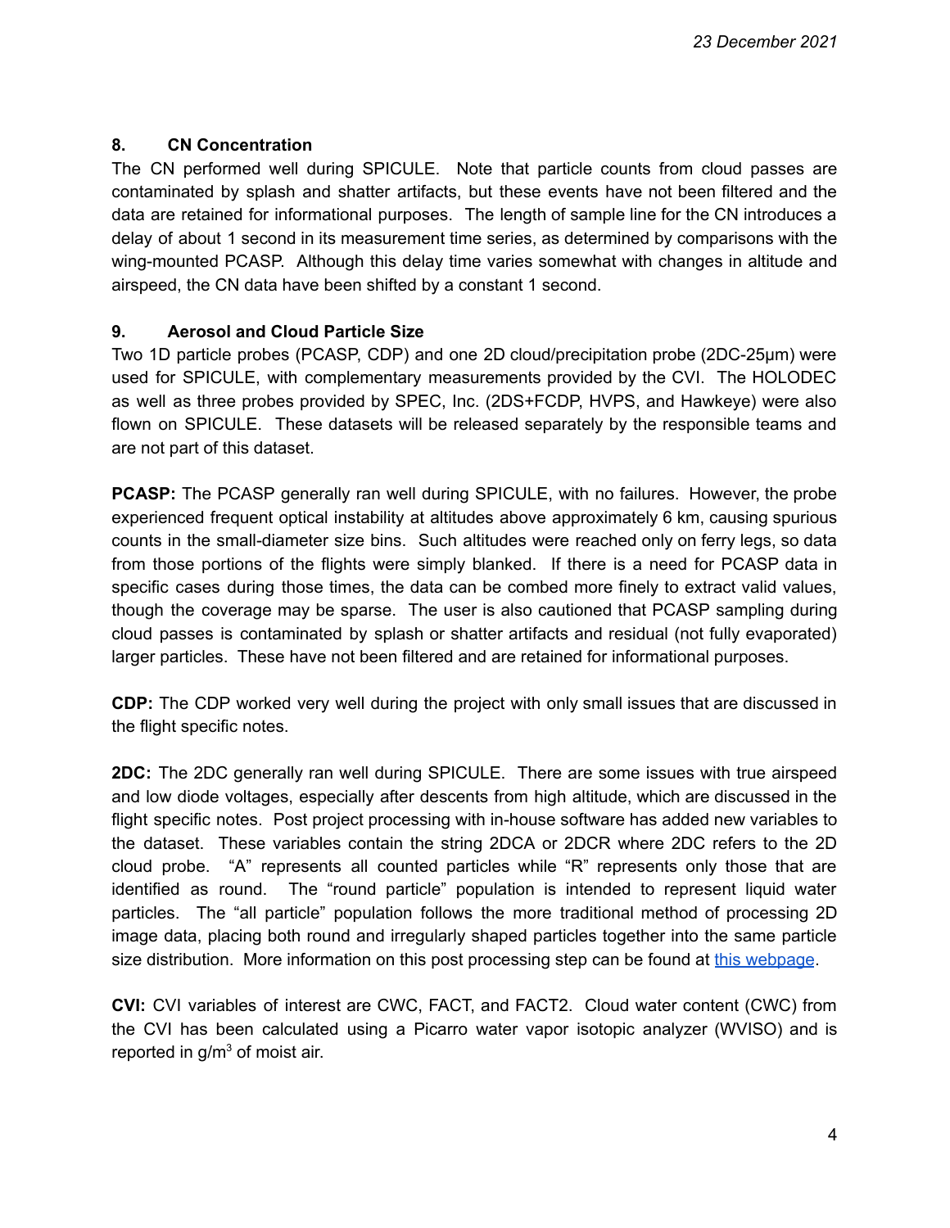### **8. CN Concentration**

The CN performed well during SPICULE. Note that particle counts from cloud passes are contaminated by splash and shatter artifacts, but these events have not been filtered and the data are retained for informational purposes. The length of sample line for the CN introduces a delay of about 1 second in its measurement time series, as determined by comparisons with the wing-mounted PCASP. Although this delay time varies somewhat with changes in altitude and airspeed, the CN data have been shifted by a constant 1 second.

### **9. Aerosol and Cloud Particle Size**

Two 1D particle probes (PCASP, CDP) and one 2D cloud/precipitation probe (2DC-25μm) were used for SPICULE, with complementary measurements provided by the CVI. The HOLODEC as well as three probes provided by SPEC, Inc. (2DS+FCDP, HVPS, and Hawkeye) were also flown on SPICULE. These datasets will be released separately by the responsible teams and are not part of this dataset.

**PCASP:** The PCASP generally ran well during SPICULE, with no failures. However, the probe experienced frequent optical instability at altitudes above approximately 6 km, causing spurious counts in the small-diameter size bins. Such altitudes were reached only on ferry legs, so data from those portions of the flights were simply blanked. If there is a need for PCASP data in specific cases during those times, the data can be combed more finely to extract valid values, though the coverage may be sparse. The user is also cautioned that PCASP sampling during cloud passes is contaminated by splash or shatter artifacts and residual (not fully evaporated) larger particles. These have not been filtered and are retained for informational purposes.

**CDP:** The CDP worked very well during the project with only small issues that are discussed in the flight specific notes.

**2DC:** The 2DC generally ran well during SPICULE. There are some issues with true airspeed and low diode voltages, especially after descents from high altitude, which are discussed in the flight specific notes. Post project processing with in-house software has added new variables to the dataset. These variables contain the string 2DCA or 2DCR where 2DC refers to the 2D cloud probe. "A" represents all counted particles while "R" represents only those that are identified as round. The "round particle" population is intended to represent liquid water particles. The "all particle" population follows the more traditional method of processing 2D image data, placing both round and irregularly shaped particles together into the same particle size distribution. More information on this post processing step can be found at this [webpage](https://www.eol.ucar.edu/software/process2d).

**CVI:** CVI variables of interest are CWC, FACT, and FACT2. Cloud water content (CWC) from the CVI has been calculated using a Picarro water vapor isotopic analyzer (WVISO) and is reported in  $q/m<sup>3</sup>$  of moist air.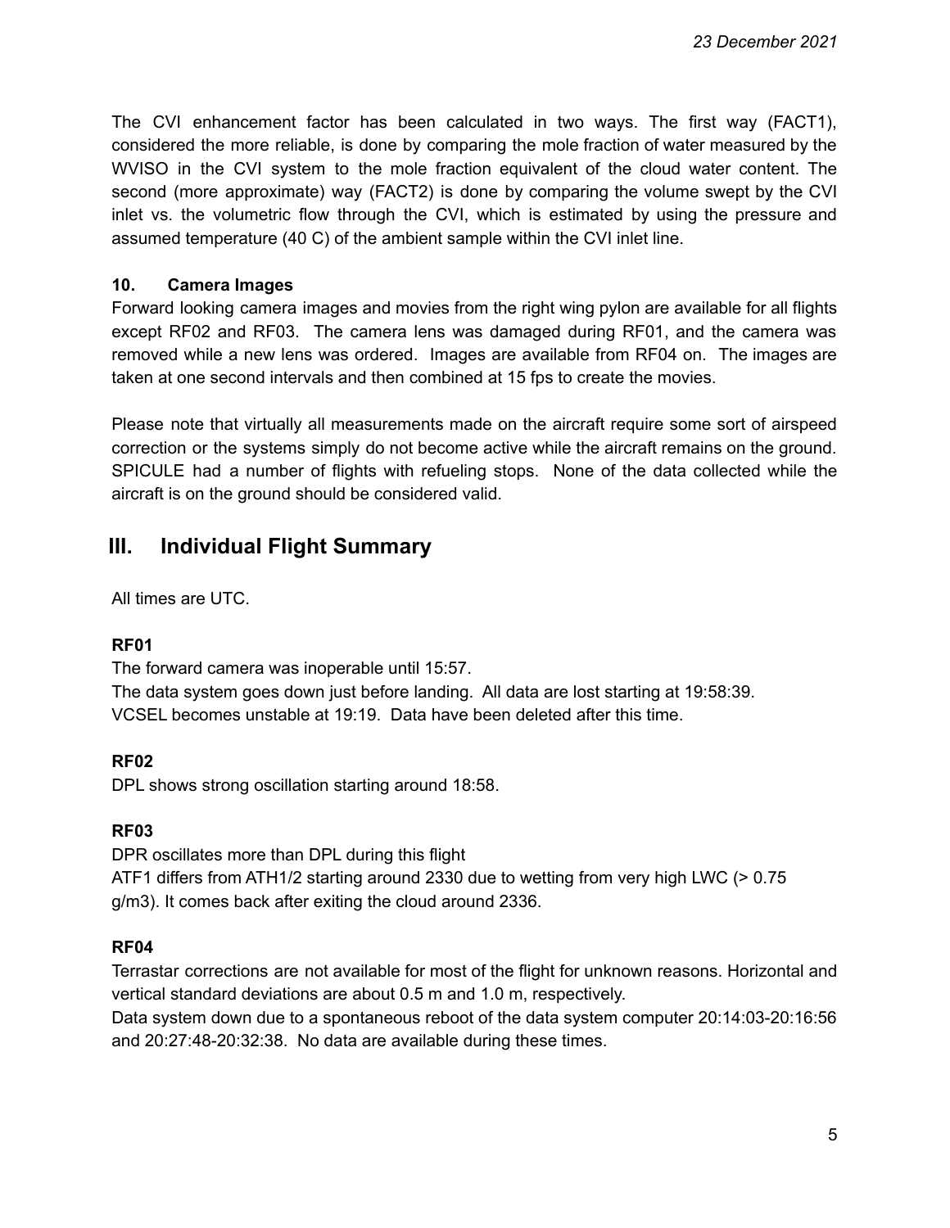The CVI enhancement factor has been calculated in two ways. The first way (FACT1), considered the more reliable, is done by comparing the mole fraction of water measured by the WVISO in the CVI system to the mole fraction equivalent of the cloud water content. The second (more approximate) way (FACT2) is done by comparing the volume swept by the CVI inlet vs. the volumetric flow through the CVI, which is estimated by using the pressure and assumed temperature (40 C) of the ambient sample within the CVI inlet line.

### **10. Camera Images**

Forward looking camera images and movies from the right wing pylon are available for all flights except RF02 and RF03. The camera lens was damaged during RF01, and the camera was removed while a new lens was ordered. Images are available from RF04 on. The images are taken at one second intervals and then combined at 15 fps to create the movies.

Please note that virtually all measurements made on the aircraft require some sort of airspeed correction or the systems simply do not become active while the aircraft remains on the ground. SPICULE had a number of flights with refueling stops. None of the data collected while the aircraft is on the ground should be considered valid.

## **III. Individual Flight Summary**

All times are UTC.

### **RF01**

The forward camera was inoperable until 15:57. The data system goes down just before landing. All data are lost starting at 19:58:39. VCSEL becomes unstable at 19:19. Data have been deleted after this time.

### **RF02**

DPL shows strong oscillation starting around 18:58.

### **RF03**

DPR oscillates more than DPL during this flight ATF1 differs from ATH1/2 starting around 2330 due to wetting from very high LWC (> 0.75 g/m3). It comes back after exiting the cloud around 2336.

### **RF04**

Terrastar corrections are not available for most of the flight for unknown reasons. Horizontal and vertical standard deviations are about 0.5 m and 1.0 m, respectively.

Data system down due to a spontaneous reboot of the data system computer 20:14:03-20:16:56 and 20:27:48-20:32:38. No data are available during these times.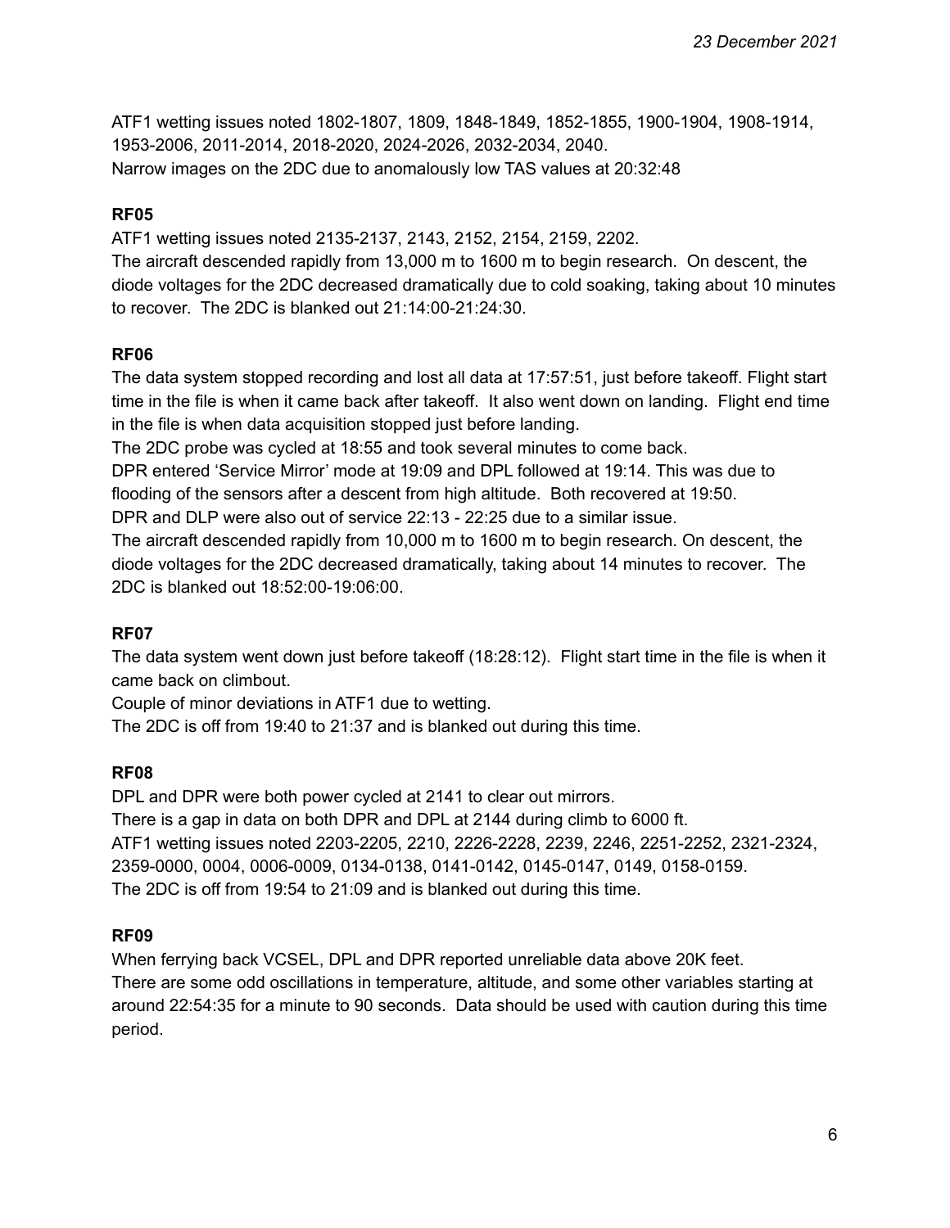ATF1 wetting issues noted 1802-1807, 1809, 1848-1849, 1852-1855, 1900-1904, 1908-1914, 1953-2006, 2011-2014, 2018-2020, 2024-2026, 2032-2034, 2040. Narrow images on the 2DC due to anomalously low TAS values at 20:32:48

### **RF05**

ATF1 wetting issues noted 2135-2137, 2143, 2152, 2154, 2159, 2202.

The aircraft descended rapidly from 13,000 m to 1600 m to begin research. On descent, the diode voltages for the 2DC decreased dramatically due to cold soaking, taking about 10 minutes to recover. The 2DC is blanked out 21:14:00-21:24:30.

### **RF06**

The data system stopped recording and lost all data at 17:57:51, just before takeoff. Flight start time in the file is when it came back after takeoff. It also went down on landing. Flight end time in the file is when data acquisition stopped just before landing.

The 2DC probe was cycled at 18:55 and took several minutes to come back.

DPR entered 'Service Mirror' mode at 19:09 and DPL followed at 19:14. This was due to flooding of the sensors after a descent from high altitude. Both recovered at 19:50.

DPR and DLP were also out of service 22:13 - 22:25 due to a similar issue.

The aircraft descended rapidly from 10,000 m to 1600 m to begin research. On descent, the diode voltages for the 2DC decreased dramatically, taking about 14 minutes to recover. The 2DC is blanked out 18:52:00-19:06:00.

#### **RF07**

The data system went down just before takeoff (18:28:12). Flight start time in the file is when it came back on climbout.

Couple of minor deviations in ATF1 due to wetting.

The 2DC is off from 19:40 to 21:37 and is blanked out during this time.

### **RF08**

DPL and DPR were both power cycled at 2141 to clear out mirrors. There is a gap in data on both DPR and DPL at 2144 during climb to 6000 ft. ATF1 wetting issues noted 2203-2205, 2210, 2226-2228, 2239, 2246, 2251-2252, 2321-2324, 2359-0000, 0004, 0006-0009, 0134-0138, 0141-0142, 0145-0147, 0149, 0158-0159. The 2DC is off from 19:54 to 21:09 and is blanked out during this time.

### **RF09**

When ferrying back VCSEL, DPL and DPR reported unreliable data above 20K feet. There are some odd oscillations in temperature, altitude, and some other variables starting at around 22:54:35 for a minute to 90 seconds. Data should be used with caution during this time period.